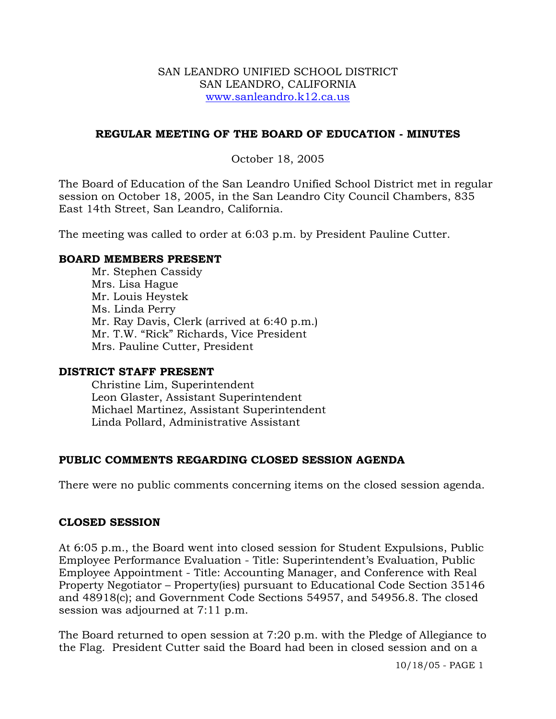### SAN LEANDRO UNIFIED SCHOOL DISTRICT SAN LEANDRO, CALIFORNIA www.sanleandro.k12.ca.us

### **REGULAR MEETING OF THE BOARD OF EDUCATION - MINUTES**

### October 18, 2005

The Board of Education of the San Leandro Unified School District met in regular session on October 18, 2005, in the San Leandro City Council Chambers, 835 East 14th Street, San Leandro, California.

The meeting was called to order at 6:03 p.m. by President Pauline Cutter.

### **BOARD MEMBERS PRESENT**

Mr. Stephen Cassidy Mrs. Lisa Hague Mr. Louis Heystek Ms. Linda Perry Mr. Ray Davis, Clerk (arrived at 6:40 p.m.) Mr. T.W. "Rick" Richards, Vice President Mrs. Pauline Cutter, President

### **DISTRICT STAFF PRESENT**

Christine Lim, Superintendent Leon Glaster, Assistant Superintendent Michael Martinez, Assistant Superintendent Linda Pollard, Administrative Assistant

## **PUBLIC COMMENTS REGARDING CLOSED SESSION AGENDA**

There were no public comments concerning items on the closed session agenda.

## **CLOSED SESSION**

At 6:05 p.m., the Board went into closed session for Student Expulsions, Public Employee Performance Evaluation - Title: Superintendent's Evaluation, Public Employee Appointment - Title: Accounting Manager, and Conference with Real Property Negotiator – Property(ies) pursuant to Educational Code Section 35146 and 48918(c); and Government Code Sections 54957, and 54956.8. The closed session was adjourned at 7:11 p.m.

The Board returned to open session at 7:20 p.m. with the Pledge of Allegiance to the Flag. President Cutter said the Board had been in closed session and on a

10/18/05 - PAGE 1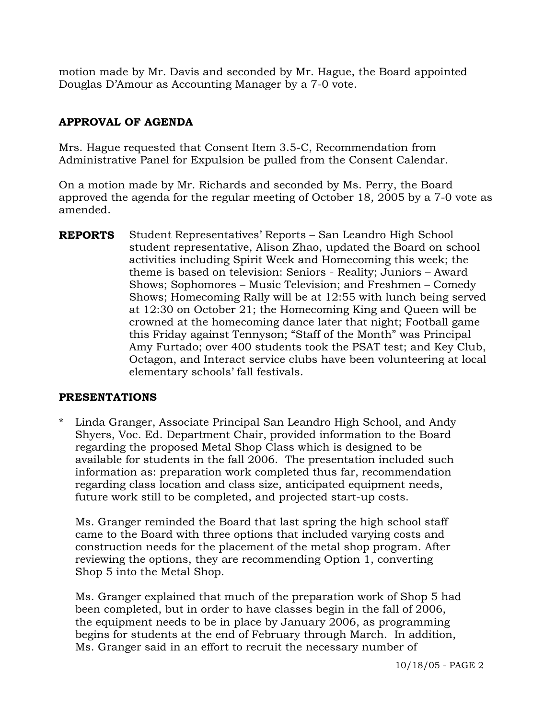motion made by Mr. Davis and seconded by Mr. Hague, the Board appointed Douglas D'Amour as Accounting Manager by a 7-0 vote.

# **APPROVAL OF AGENDA**

Mrs. Hague requested that Consent Item 3.5-C, Recommendation from Administrative Panel for Expulsion be pulled from the Consent Calendar.

On a motion made by Mr. Richards and seconded by Ms. Perry, the Board approved the agenda for the regular meeting of October 18, 2005 by a 7-0 vote as amended.

**REPORTS** Student Representatives' Reports – San Leandro High School student representative, Alison Zhao, updated the Board on school activities including Spirit Week and Homecoming this week; the theme is based on television: Seniors - Reality; Juniors – Award Shows; Sophomores – Music Television; and Freshmen – Comedy Shows; Homecoming Rally will be at 12:55 with lunch being served at 12:30 on October 21; the Homecoming King and Queen will be crowned at the homecoming dance later that night; Football game this Friday against Tennyson; "Staff of the Month" was Principal Amy Furtado; over 400 students took the PSAT test; and Key Club, Octagon, and Interact service clubs have been volunteering at local elementary schools' fall festivals.

## **PRESENTATIONS**

\* Linda Granger, Associate Principal San Leandro High School, and Andy Shyers, Voc. Ed. Department Chair, provided information to the Board regarding the proposed Metal Shop Class which is designed to be available for students in the fall 2006. The presentation included such information as: preparation work completed thus far, recommendation regarding class location and class size, anticipated equipment needs, future work still to be completed, and projected start-up costs.

 Ms. Granger reminded the Board that last spring the high school staff came to the Board with three options that included varying costs and construction needs for the placement of the metal shop program. After reviewing the options, they are recommending Option 1, converting Shop 5 into the Metal Shop.

 Ms. Granger explained that much of the preparation work of Shop 5 had been completed, but in order to have classes begin in the fall of 2006, the equipment needs to be in place by January 2006, as programming begins for students at the end of February through March. In addition, Ms. Granger said in an effort to recruit the necessary number of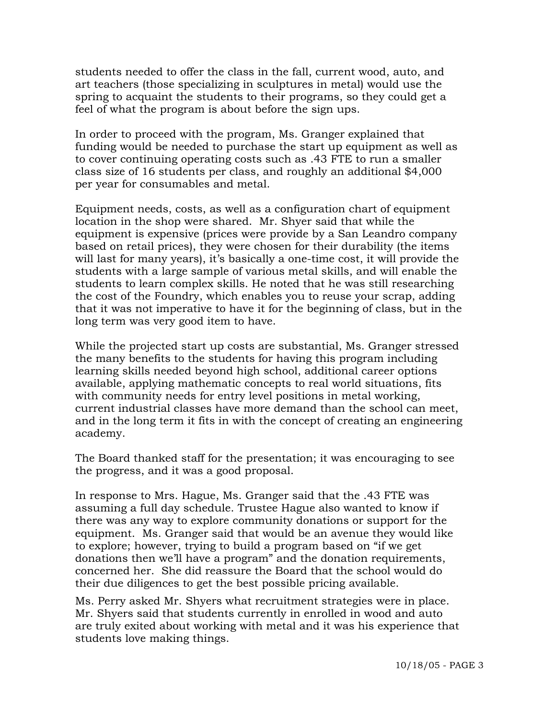students needed to offer the class in the fall, current wood, auto, and art teachers (those specializing in sculptures in metal) would use the spring to acquaint the students to their programs, so they could get a feel of what the program is about before the sign ups.

 In order to proceed with the program, Ms. Granger explained that funding would be needed to purchase the start up equipment as well as to cover continuing operating costs such as .43 FTE to run a smaller class size of 16 students per class, and roughly an additional \$4,000 per year for consumables and metal.

 Equipment needs, costs, as well as a configuration chart of equipment location in the shop were shared. Mr. Shyer said that while the equipment is expensive (prices were provide by a San Leandro company based on retail prices), they were chosen for their durability (the items will last for many years), it's basically a one-time cost, it will provide the students with a large sample of various metal skills, and will enable the students to learn complex skills. He noted that he was still researching the cost of the Foundry, which enables you to reuse your scrap, adding that it was not imperative to have it for the beginning of class, but in the long term was very good item to have.

 While the projected start up costs are substantial, Ms. Granger stressed the many benefits to the students for having this program including learning skills needed beyond high school, additional career options available, applying mathematic concepts to real world situations, fits with community needs for entry level positions in metal working, current industrial classes have more demand than the school can meet, and in the long term it fits in with the concept of creating an engineering academy.

 The Board thanked staff for the presentation; it was encouraging to see the progress, and it was a good proposal.

 In response to Mrs. Hague, Ms. Granger said that the .43 FTE was assuming a full day schedule. Trustee Hague also wanted to know if there was any way to explore community donations or support for the equipment. Ms. Granger said that would be an avenue they would like to explore; however, trying to build a program based on "if we get donations then we'll have a program" and the donation requirements, concerned her. She did reassure the Board that the school would do their due diligences to get the best possible pricing available.

 Ms. Perry asked Mr. Shyers what recruitment strategies were in place. Mr. Shyers said that students currently in enrolled in wood and auto are truly exited about working with metal and it was his experience that students love making things.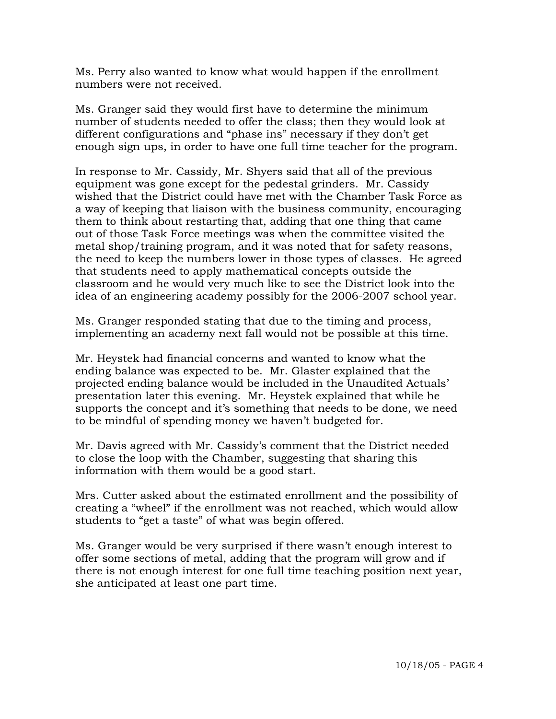Ms. Perry also wanted to know what would happen if the enrollment numbers were not received.

 Ms. Granger said they would first have to determine the minimum number of students needed to offer the class; then they would look at different configurations and "phase ins" necessary if they don't get enough sign ups, in order to have one full time teacher for the program.

 In response to Mr. Cassidy, Mr. Shyers said that all of the previous equipment was gone except for the pedestal grinders. Mr. Cassidy wished that the District could have met with the Chamber Task Force as a way of keeping that liaison with the business community, encouraging them to think about restarting that, adding that one thing that came out of those Task Force meetings was when the committee visited the metal shop/training program, and it was noted that for safety reasons, the need to keep the numbers lower in those types of classes. He agreed that students need to apply mathematical concepts outside the classroom and he would very much like to see the District look into the idea of an engineering academy possibly for the 2006-2007 school year.

 Ms. Granger responded stating that due to the timing and process, implementing an academy next fall would not be possible at this time.

 Mr. Heystek had financial concerns and wanted to know what the ending balance was expected to be. Mr. Glaster explained that the projected ending balance would be included in the Unaudited Actuals' presentation later this evening. Mr. Heystek explained that while he supports the concept and it's something that needs to be done, we need to be mindful of spending money we haven't budgeted for.

 Mr. Davis agreed with Mr. Cassidy's comment that the District needed to close the loop with the Chamber, suggesting that sharing this information with them would be a good start.

 Mrs. Cutter asked about the estimated enrollment and the possibility of creating a "wheel" if the enrollment was not reached, which would allow students to "get a taste" of what was begin offered.

 Ms. Granger would be very surprised if there wasn't enough interest to offer some sections of metal, adding that the program will grow and if there is not enough interest for one full time teaching position next year, she anticipated at least one part time.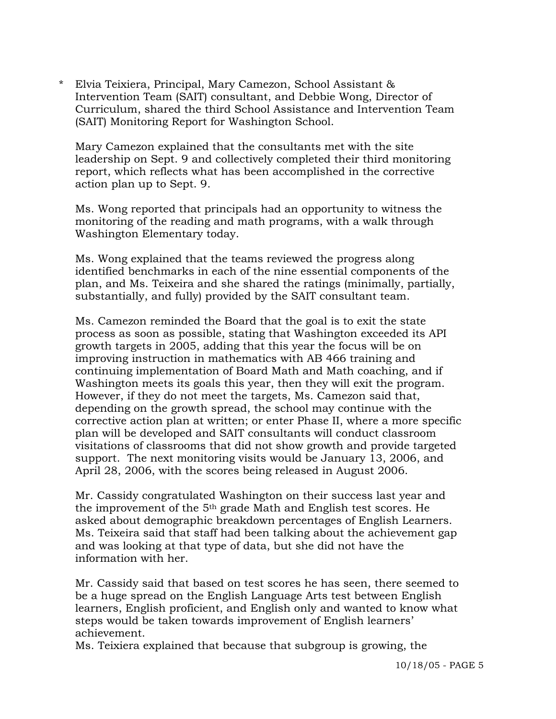\* Elvia Teixiera, Principal, Mary Camezon, School Assistant & Intervention Team (SAIT) consultant, and Debbie Wong, Director of Curriculum, shared the third School Assistance and Intervention Team (SAIT) Monitoring Report for Washington School.

 Mary Camezon explained that the consultants met with the site leadership on Sept. 9 and collectively completed their third monitoring report, which reflects what has been accomplished in the corrective action plan up to Sept. 9.

 Ms. Wong reported that principals had an opportunity to witness the monitoring of the reading and math programs, with a walk through Washington Elementary today.

 Ms. Wong explained that the teams reviewed the progress along identified benchmarks in each of the nine essential components of the plan, and Ms. Teixeira and she shared the ratings (minimally, partially, substantially, and fully) provided by the SAIT consultant team.

 Ms. Camezon reminded the Board that the goal is to exit the state process as soon as possible, stating that Washington exceeded its API growth targets in 2005, adding that this year the focus will be on improving instruction in mathematics with AB 466 training and continuing implementation of Board Math and Math coaching, and if Washington meets its goals this year, then they will exit the program. However, if they do not meet the targets, Ms. Camezon said that, depending on the growth spread, the school may continue with the corrective action plan at written; or enter Phase II, where a more specific plan will be developed and SAIT consultants will conduct classroom visitations of classrooms that did not show growth and provide targeted support. The next monitoring visits would be January 13, 2006, and April 28, 2006, with the scores being released in August 2006.

 Mr. Cassidy congratulated Washington on their success last year and the improvement of the 5th grade Math and English test scores. He asked about demographic breakdown percentages of English Learners. Ms. Teixeira said that staff had been talking about the achievement gap and was looking at that type of data, but she did not have the information with her.

 Mr. Cassidy said that based on test scores he has seen, there seemed to be a huge spread on the English Language Arts test between English learners, English proficient, and English only and wanted to know what steps would be taken towards improvement of English learners' achievement.

Ms. Teixiera explained that because that subgroup is growing, the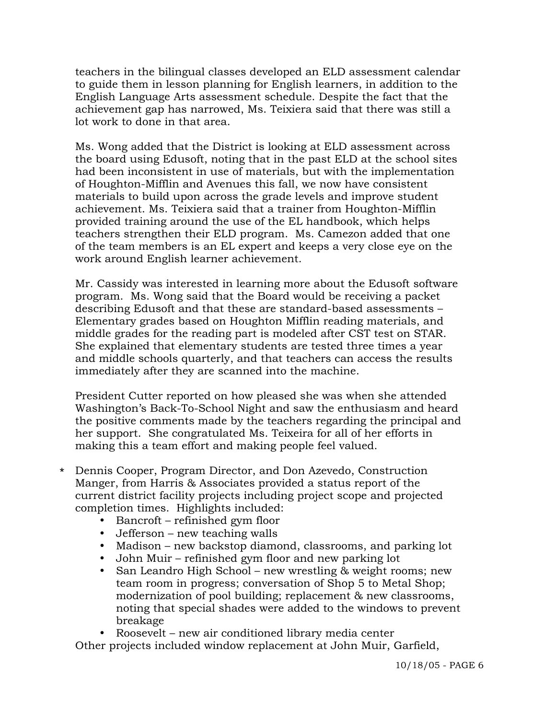teachers in the bilingual classes developed an ELD assessment calendar to guide them in lesson planning for English learners, in addition to the English Language Arts assessment schedule. Despite the fact that the achievement gap has narrowed, Ms. Teixiera said that there was still a lot work to done in that area.

 Ms. Wong added that the District is looking at ELD assessment across the board using Edusoft, noting that in the past ELD at the school sites had been inconsistent in use of materials, but with the implementation of Houghton-Mifflin and Avenues this fall, we now have consistent materials to build upon across the grade levels and improve student achievement. Ms. Teixiera said that a trainer from Houghton-Mifflin provided training around the use of the EL handbook, which helps teachers strengthen their ELD program. Ms. Camezon added that one of the team members is an EL expert and keeps a very close eye on the work around English learner achievement.

 Mr. Cassidy was interested in learning more about the Edusoft software program. Ms. Wong said that the Board would be receiving a packet describing Edusoft and that these are standard-based assessments – Elementary grades based on Houghton Mifflin reading materials, and middle grades for the reading part is modeled after CST test on STAR. She explained that elementary students are tested three times a year and middle schools quarterly, and that teachers can access the results immediately after they are scanned into the machine.

 President Cutter reported on how pleased she was when she attended Washington's Back-To-School Night and saw the enthusiasm and heard the positive comments made by the teachers regarding the principal and her support. She congratulated Ms. Teixeira for all of her efforts in making this a team effort and making people feel valued.

- \* Dennis Cooper, Program Director, and Don Azevedo, Construction Manger, from Harris & Associates provided a status report of the current district facility projects including project scope and projected completion times. Highlights included:
	- $\bullet$  Bancroft refinished gym floor
	- $\bullet$  Jefferson new teaching walls
	- Madison new backstop diamond, classrooms, and parking lot
	- John Muir refinished gym floor and new parking lot
	- San Leandro High School new wrestling & weight rooms; new team room in progress; conversation of Shop 5 to Metal Shop; modernization of pool building; replacement & new classrooms, noting that special shades were added to the windows to prevent breakage

y Roosevelt – new air conditioned library media center

Other projects included window replacement at John Muir, Garfield,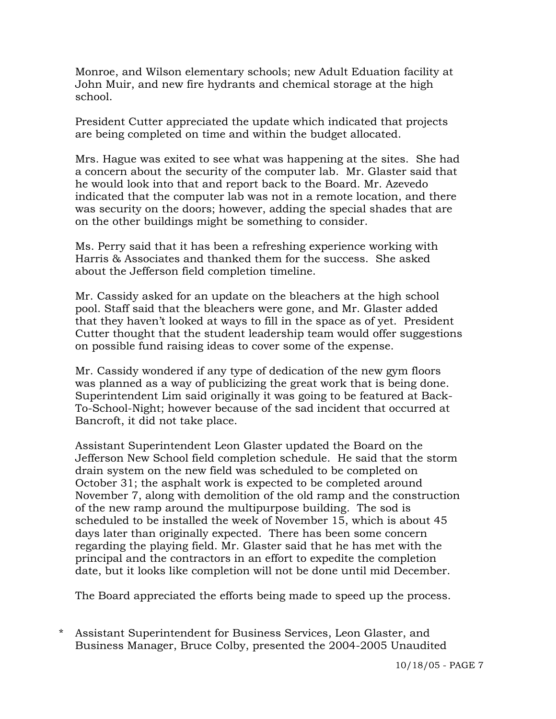Monroe, and Wilson elementary schools; new Adult Eduation facility at John Muir, and new fire hydrants and chemical storage at the high school.

 President Cutter appreciated the update which indicated that projects are being completed on time and within the budget allocated.

 Mrs. Hague was exited to see what was happening at the sites. She had a concern about the security of the computer lab. Mr. Glaster said that he would look into that and report back to the Board. Mr. Azevedo indicated that the computer lab was not in a remote location, and there was security on the doors; however, adding the special shades that are on the other buildings might be something to consider.

 Ms. Perry said that it has been a refreshing experience working with Harris & Associates and thanked them for the success. She asked about the Jefferson field completion timeline.

 Mr. Cassidy asked for an update on the bleachers at the high school pool. Staff said that the bleachers were gone, and Mr. Glaster added that they haven't looked at ways to fill in the space as of yet. President Cutter thought that the student leadership team would offer suggestions on possible fund raising ideas to cover some of the expense.

 Mr. Cassidy wondered if any type of dedication of the new gym floors was planned as a way of publicizing the great work that is being done. Superintendent Lim said originally it was going to be featured at Back-To-School-Night; however because of the sad incident that occurred at Bancroft, it did not take place.

 Assistant Superintendent Leon Glaster updated the Board on the Jefferson New School field completion schedule. He said that the storm drain system on the new field was scheduled to be completed on October 31; the asphalt work is expected to be completed around November 7, along with demolition of the old ramp and the construction of the new ramp around the multipurpose building. The sod is scheduled to be installed the week of November 15, which is about 45 days later than originally expected. There has been some concern regarding the playing field. Mr. Glaster said that he has met with the principal and the contractors in an effort to expedite the completion date, but it looks like completion will not be done until mid December.

The Board appreciated the efforts being made to speed up the process.

\* Assistant Superintendent for Business Services, Leon Glaster, and Business Manager, Bruce Colby, presented the 2004-2005 Unaudited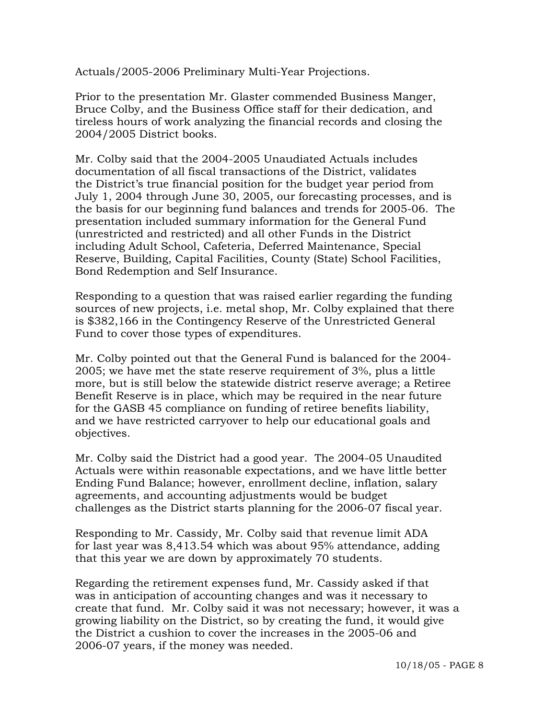Actuals/2005-2006 Preliminary Multi-Year Projections.

 Prior to the presentation Mr. Glaster commended Business Manger, Bruce Colby, and the Business Office staff for their dedication, and tireless hours of work analyzing the financial records and closing the 2004/2005 District books.

 Mr. Colby said that the 2004-2005 Unaudiated Actuals includes documentation of all fiscal transactions of the District, validates the District's true financial position for the budget year period from July 1, 2004 through June 30, 2005, our forecasting processes, and is the basis for our beginning fund balances and trends for 2005-06. The presentation included summary information for the General Fund (unrestricted and restricted) and all other Funds in the District including Adult School, Cafeteria, Deferred Maintenance, Special Reserve, Building, Capital Facilities, County (State) School Facilities, Bond Redemption and Self Insurance.

 Responding to a question that was raised earlier regarding the funding sources of new projects, i.e. metal shop, Mr. Colby explained that there is \$382,166 in the Contingency Reserve of the Unrestricted General Fund to cover those types of expenditures.

 Mr. Colby pointed out that the General Fund is balanced for the 2004- 2005; we have met the state reserve requirement of 3%, plus a little more, but is still below the statewide district reserve average; a Retiree Benefit Reserve is in place, which may be required in the near future for the GASB 45 compliance on funding of retiree benefits liability, and we have restricted carryover to help our educational goals and objectives.

 Mr. Colby said the District had a good year. The 2004-05 Unaudited Actuals were within reasonable expectations, and we have little better Ending Fund Balance; however, enrollment decline, inflation, salary agreements, and accounting adjustments would be budget challenges as the District starts planning for the 2006-07 fiscal year.

 Responding to Mr. Cassidy, Mr. Colby said that revenue limit ADA for last year was 8,413.54 which was about 95% attendance, adding that this year we are down by approximately 70 students.

 Regarding the retirement expenses fund, Mr. Cassidy asked if that was in anticipation of accounting changes and was it necessary to create that fund. Mr. Colby said it was not necessary; however, it was a growing liability on the District, so by creating the fund, it would give the District a cushion to cover the increases in the 2005-06 and 2006-07 years, if the money was needed.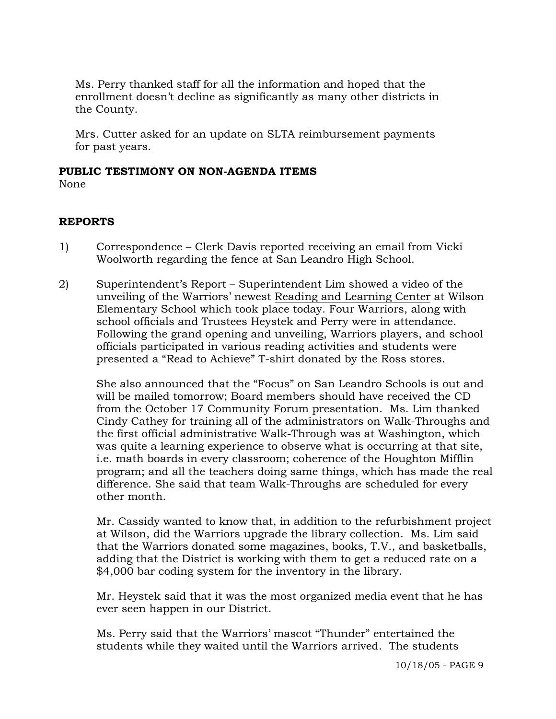Ms. Perry thanked staff for all the information and hoped that the enrollment doesn't decline as significantly as many other districts in the County.

 Mrs. Cutter asked for an update on SLTA reimbursement payments for past years.

## **PUBLIC TESTIMONY ON NON-AGENDA ITEMS**

None

# **REPORTS**

- 1) Correspondence Clerk Davis reported receiving an email from Vicki Woolworth regarding the fence at San Leandro High School.
- 2) Superintendent's Report Superintendent Lim showed a video of the unveiling of the Warriors' newest Reading and Learning Center at Wilson Elementary School which took place today. Four Warriors, along with school officials and Trustees Heystek and Perry were in attendance. Following the grand opening and unveiling, Warriors players, and school officials participated in various reading activities and students were presented a "Read to Achieve" T-shirt donated by the Ross stores.

She also announced that the "Focus" on San Leandro Schools is out and will be mailed tomorrow; Board members should have received the CD from the October 17 Community Forum presentation. Ms. Lim thanked Cindy Cathey for training all of the administrators on Walk-Throughs and the first official administrative Walk-Through was at Washington, which was quite a learning experience to observe what is occurring at that site, i.e. math boards in every classroom; coherence of the Houghton Mifflin program; and all the teachers doing same things, which has made the real difference. She said that team Walk-Throughs are scheduled for every other month.

Mr. Cassidy wanted to know that, in addition to the refurbishment project at Wilson, did the Warriors upgrade the library collection. Ms. Lim said that the Warriors donated some magazines, books, T.V., and basketballs, adding that the District is working with them to get a reduced rate on a \$4,000 bar coding system for the inventory in the library.

Mr. Heystek said that it was the most organized media event that he has ever seen happen in our District.

Ms. Perry said that the Warriors' mascot "Thunder" entertained the students while they waited until the Warriors arrived. The students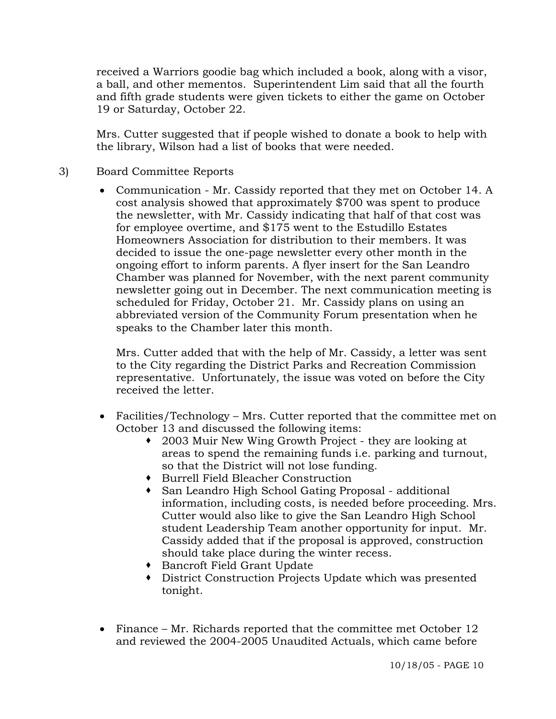received a Warriors goodie bag which included a book, along with a visor, a ball, and other mementos. Superintendent Lim said that all the fourth and fifth grade students were given tickets to either the game on October 19 or Saturday, October 22.

Mrs. Cutter suggested that if people wished to donate a book to help with the library, Wilson had a list of books that were needed.

- 3) Board Committee Reports
	- Communication Mr. Cassidy reported that they met on October 14. A cost analysis showed that approximately \$700 was spent to produce the newsletter, with Mr. Cassidy indicating that half of that cost was for employee overtime, and \$175 went to the Estudillo Estates Homeowners Association for distribution to their members. It was decided to issue the one-page newsletter every other month in the ongoing effort to inform parents. A flyer insert for the San Leandro Chamber was planned for November, with the next parent community newsletter going out in December. The next communication meeting is scheduled for Friday, October 21. Mr. Cassidy plans on using an abbreviated version of the Community Forum presentation when he speaks to the Chamber later this month.

 Mrs. Cutter added that with the help of Mr. Cassidy, a letter was sent to the City regarding the District Parks and Recreation Commission representative. Unfortunately, the issue was voted on before the City received the letter.

- Facilities/Technology Mrs. Cutter reported that the committee met on October 13 and discussed the following items:
	- 2003 Muir New Wing Growth Project they are looking at areas to spend the remaining funds i.e. parking and turnout, so that the District will not lose funding.
	- Burrell Field Bleacher Construction
	- San Leandro High School Gating Proposal additional information, including costs, is needed before proceeding. Mrs. Cutter would also like to give the San Leandro High School student Leadership Team another opportunity for input. Mr. Cassidy added that if the proposal is approved, construction should take place during the winter recess.
	- Bancroft Field Grant Update
	- District Construction Projects Update which was presented tonight.
- Finance Mr. Richards reported that the committee met October 12 and reviewed the 2004-2005 Unaudited Actuals, which came before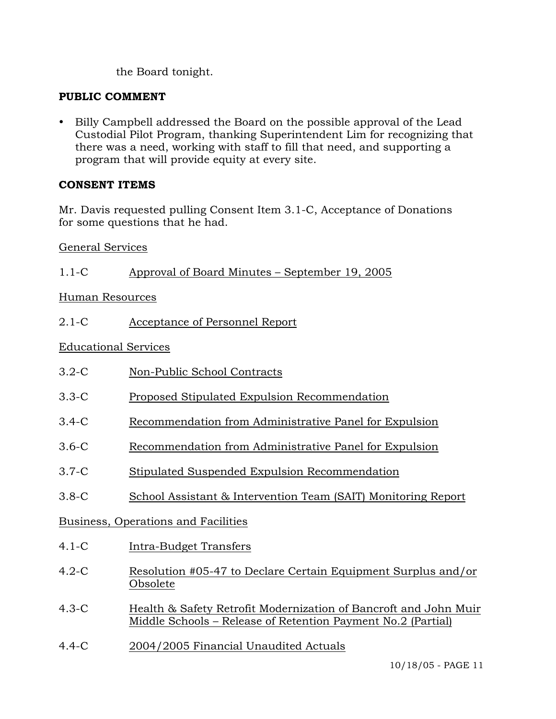the Board tonight.

# **PUBLIC COMMENT**

• Billy Campbell addressed the Board on the possible approval of the Lead Custodial Pilot Program, thanking Superintendent Lim for recognizing that there was a need, working with staff to fill that need, and supporting a program that will provide equity at every site.

# **CONSENT ITEMS**

Mr. Davis requested pulling Consent Item 3.1-C, Acceptance of Donations for some questions that he had.

# General Services

| $1.1-C$                             | Approval of Board Minutes – September 19, 2005                                                                                   |
|-------------------------------------|----------------------------------------------------------------------------------------------------------------------------------|
| <b>Human Resources</b>              |                                                                                                                                  |
| $2.1 - C$                           | Acceptance of Personnel Report                                                                                                   |
| <b>Educational Services</b>         |                                                                                                                                  |
| $3.2-C$                             | Non-Public School Contracts                                                                                                      |
| $3.3-C$                             | Proposed Stipulated Expulsion Recommendation                                                                                     |
| $3.4-C$                             | Recommendation from Administrative Panel for Expulsion                                                                           |
| $3.6-C$                             | Recommendation from Administrative Panel for Expulsion                                                                           |
| $3.7-C$                             | Stipulated Suspended Expulsion Recommendation                                                                                    |
| $3.8-C$                             | School Assistant & Intervention Team (SAIT) Monitoring Report                                                                    |
| Business, Operations and Facilities |                                                                                                                                  |
| $4.1-C$                             | Intra-Budget Transfers                                                                                                           |
| $4.2-C$                             | Resolution #05-47 to Declare Certain Equipment Surplus and/or<br>Obsolete                                                        |
| $4.3-C$                             | Health & Safety Retrofit Modernization of Bancroft and John Muir<br>Middle Schools - Release of Retention Payment No.2 (Partial) |
| $4.4 - C$                           | 2004/2005 Financial Unaudited Actuals                                                                                            |
|                                     | 10/18/05 - PAGE 11                                                                                                               |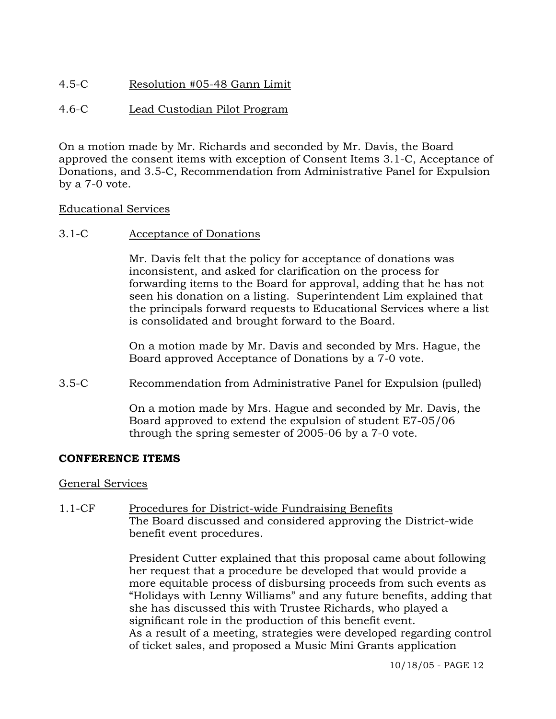# 4.5-C Resolution #05-48 Gann Limit

## 4.6-C Lead Custodian Pilot Program

On a motion made by Mr. Richards and seconded by Mr. Davis, the Board approved the consent items with exception of Consent Items 3.1-C, Acceptance of Donations, and 3.5-C, Recommendation from Administrative Panel for Expulsion by a 7-0 vote.

### Educational Services

### 3.1-C Acceptance of Donations

Mr. Davis felt that the policy for acceptance of donations was inconsistent, and asked for clarification on the process for forwarding items to the Board for approval, adding that he has not seen his donation on a listing. Superintendent Lim explained that the principals forward requests to Educational Services where a list is consolidated and brought forward to the Board.

On a motion made by Mr. Davis and seconded by Mrs. Hague, the Board approved Acceptance of Donations by a 7-0 vote.

## 3.5-C Recommendation from Administrative Panel for Expulsion (pulled)

On a motion made by Mrs. Hague and seconded by Mr. Davis, the Board approved to extend the expulsion of student E7-05/06 through the spring semester of 2005-06 by a 7-0 vote.

### **CONFERENCE ITEMS**

### General Services

1.1-CF Procedures for District-wide Fundraising Benefits The Board discussed and considered approving the District-wide benefit event procedures.

> President Cutter explained that this proposal came about following her request that a procedure be developed that would provide a more equitable process of disbursing proceeds from such events as "Holidays with Lenny Williams" and any future benefits, adding that she has discussed this with Trustee Richards, who played a significant role in the production of this benefit event. As a result of a meeting, strategies were developed regarding control of ticket sales, and proposed a Music Mini Grants application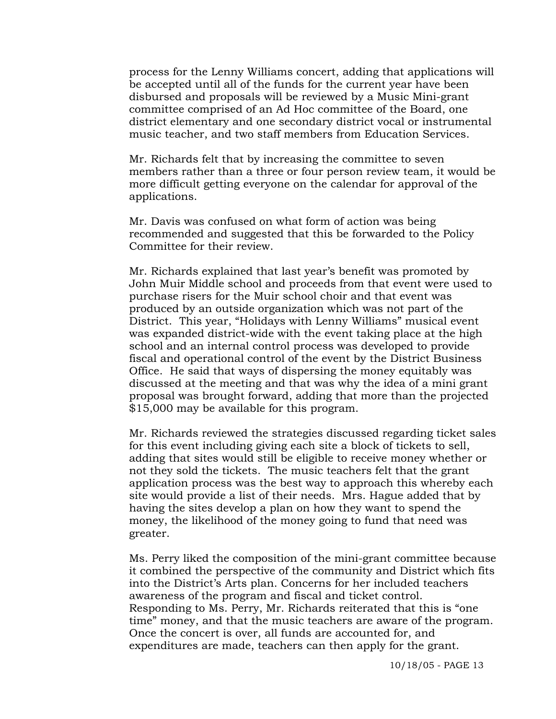process for the Lenny Williams concert, adding that applications will be accepted until all of the funds for the current year have been disbursed and proposals will be reviewed by a Music Mini-grant committee comprised of an Ad Hoc committee of the Board, one district elementary and one secondary district vocal or instrumental music teacher, and two staff members from Education Services.

Mr. Richards felt that by increasing the committee to seven members rather than a three or four person review team, it would be more difficult getting everyone on the calendar for approval of the applications.

Mr. Davis was confused on what form of action was being recommended and suggested that this be forwarded to the Policy Committee for their review.

Mr. Richards explained that last year's benefit was promoted by John Muir Middle school and proceeds from that event were used to purchase risers for the Muir school choir and that event was produced by an outside organization which was not part of the District. This year, "Holidays with Lenny Williams" musical event was expanded district-wide with the event taking place at the high school and an internal control process was developed to provide fiscal and operational control of the event by the District Business Office. He said that ways of dispersing the money equitably was discussed at the meeting and that was why the idea of a mini grant proposal was brought forward, adding that more than the projected \$15,000 may be available for this program.

Mr. Richards reviewed the strategies discussed regarding ticket sales for this event including giving each site a block of tickets to sell, adding that sites would still be eligible to receive money whether or not they sold the tickets. The music teachers felt that the grant application process was the best way to approach this whereby each site would provide a list of their needs. Mrs. Hague added that by having the sites develop a plan on how they want to spend the money, the likelihood of the money going to fund that need was greater.

Ms. Perry liked the composition of the mini-grant committee because it combined the perspective of the community and District which fits into the District's Arts plan. Concerns for her included teachers awareness of the program and fiscal and ticket control. Responding to Ms. Perry, Mr. Richards reiterated that this is "one time" money, and that the music teachers are aware of the program. Once the concert is over, all funds are accounted for, and expenditures are made, teachers can then apply for the grant.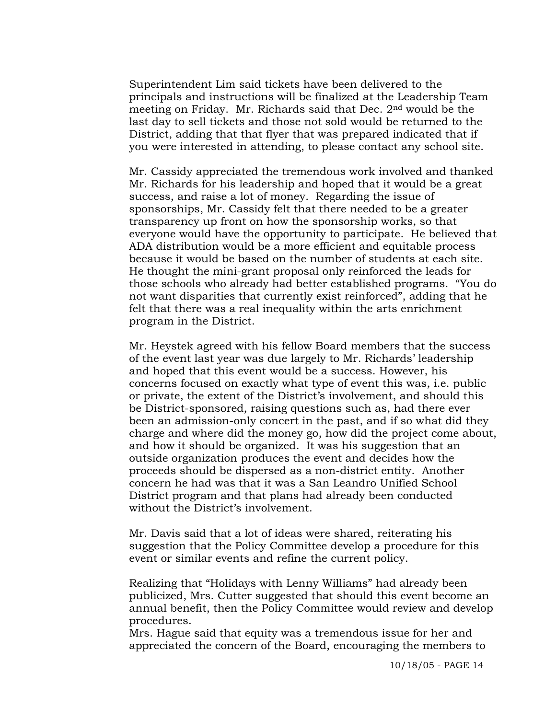Superintendent Lim said tickets have been delivered to the principals and instructions will be finalized at the Leadership Team meeting on Friday. Mr. Richards said that Dec. 2nd would be the last day to sell tickets and those not sold would be returned to the District, adding that that flyer that was prepared indicated that if you were interested in attending, to please contact any school site.

Mr. Cassidy appreciated the tremendous work involved and thanked Mr. Richards for his leadership and hoped that it would be a great success, and raise a lot of money. Regarding the issue of sponsorships, Mr. Cassidy felt that there needed to be a greater transparency up front on how the sponsorship works, so that everyone would have the opportunity to participate. He believed that ADA distribution would be a more efficient and equitable process because it would be based on the number of students at each site. He thought the mini-grant proposal only reinforced the leads for those schools who already had better established programs. "You do not want disparities that currently exist reinforced", adding that he felt that there was a real inequality within the arts enrichment program in the District.

Mr. Heystek agreed with his fellow Board members that the success of the event last year was due largely to Mr. Richards' leadership and hoped that this event would be a success. However, his concerns focused on exactly what type of event this was, i.e. public or private, the extent of the District's involvement, and should this be District-sponsored, raising questions such as, had there ever been an admission-only concert in the past, and if so what did they charge and where did the money go, how did the project come about, and how it should be organized. It was his suggestion that an outside organization produces the event and decides how the proceeds should be dispersed as a non-district entity. Another concern he had was that it was a San Leandro Unified School District program and that plans had already been conducted without the District's involvement.

Mr. Davis said that a lot of ideas were shared, reiterating his suggestion that the Policy Committee develop a procedure for this event or similar events and refine the current policy.

Realizing that "Holidays with Lenny Williams" had already been publicized, Mrs. Cutter suggested that should this event become an annual benefit, then the Policy Committee would review and develop procedures.

Mrs. Hague said that equity was a tremendous issue for her and appreciated the concern of the Board, encouraging the members to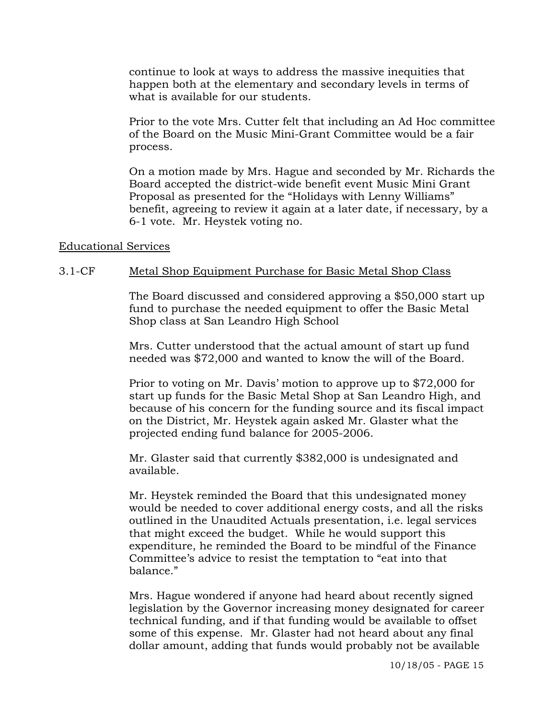continue to look at ways to address the massive inequities that happen both at the elementary and secondary levels in terms of what is available for our students.

Prior to the vote Mrs. Cutter felt that including an Ad Hoc committee of the Board on the Music Mini-Grant Committee would be a fair process.

On a motion made by Mrs. Hague and seconded by Mr. Richards the Board accepted the district-wide benefit event Music Mini Grant Proposal as presented for the "Holidays with Lenny Williams" benefit, agreeing to review it again at a later date, if necessary, by a 6-1 vote. Mr. Heystek voting no.

### Educational Services

### 3.1-CF Metal Shop Equipment Purchase for Basic Metal Shop Class

The Board discussed and considered approving a \$50,000 start up fund to purchase the needed equipment to offer the Basic Metal Shop class at San Leandro High School

Mrs. Cutter understood that the actual amount of start up fund needed was \$72,000 and wanted to know the will of the Board.

Prior to voting on Mr. Davis' motion to approve up to \$72,000 for start up funds for the Basic Metal Shop at San Leandro High, and because of his concern for the funding source and its fiscal impact on the District, Mr. Heystek again asked Mr. Glaster what the projected ending fund balance for 2005-2006.

Mr. Glaster said that currently \$382,000 is undesignated and available.

Mr. Heystek reminded the Board that this undesignated money would be needed to cover additional energy costs, and all the risks outlined in the Unaudited Actuals presentation, i.e. legal services that might exceed the budget. While he would support this expenditure, he reminded the Board to be mindful of the Finance Committee's advice to resist the temptation to "eat into that balance."

Mrs. Hague wondered if anyone had heard about recently signed legislation by the Governor increasing money designated for career technical funding, and if that funding would be available to offset some of this expense. Mr. Glaster had not heard about any final dollar amount, adding that funds would probably not be available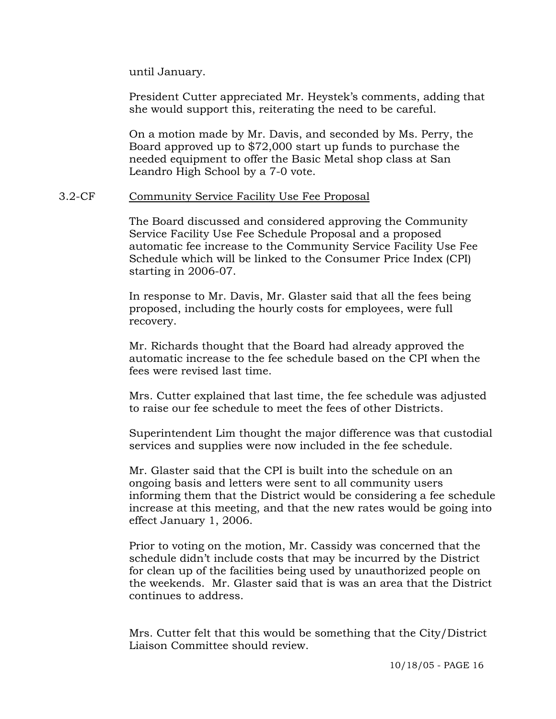until January.

President Cutter appreciated Mr. Heystek's comments, adding that she would support this, reiterating the need to be careful.

On a motion made by Mr. Davis, and seconded by Ms. Perry, the Board approved up to \$72,000 start up funds to purchase the needed equipment to offer the Basic Metal shop class at San Leandro High School by a 7-0 vote.

#### 3.2-CF Community Service Facility Use Fee Proposal

The Board discussed and considered approving the Community Service Facility Use Fee Schedule Proposal and a proposed automatic fee increase to the Community Service Facility Use Fee Schedule which will be linked to the Consumer Price Index (CPI) starting in 2006-07.

In response to Mr. Davis, Mr. Glaster said that all the fees being proposed, including the hourly costs for employees, were full recovery.

Mr. Richards thought that the Board had already approved the automatic increase to the fee schedule based on the CPI when the fees were revised last time.

Mrs. Cutter explained that last time, the fee schedule was adjusted to raise our fee schedule to meet the fees of other Districts.

Superintendent Lim thought the major difference was that custodial services and supplies were now included in the fee schedule.

Mr. Glaster said that the CPI is built into the schedule on an ongoing basis and letters were sent to all community users informing them that the District would be considering a fee schedule increase at this meeting, and that the new rates would be going into effect January 1, 2006.

Prior to voting on the motion, Mr. Cassidy was concerned that the schedule didn't include costs that may be incurred by the District for clean up of the facilities being used by unauthorized people on the weekends. Mr. Glaster said that is was an area that the District continues to address.

Mrs. Cutter felt that this would be something that the City/District Liaison Committee should review.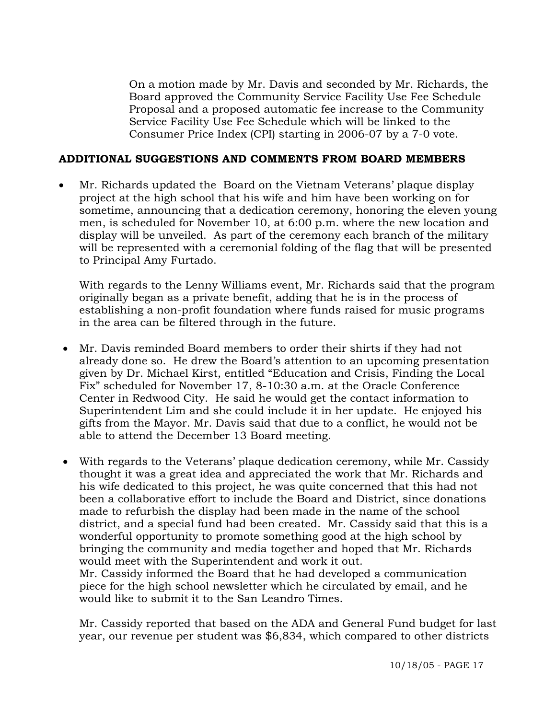On a motion made by Mr. Davis and seconded by Mr. Richards, the Board approved the Community Service Facility Use Fee Schedule Proposal and a proposed automatic fee increase to the Community Service Facility Use Fee Schedule which will be linked to the Consumer Price Index (CPI) starting in 2006-07 by a 7-0 vote.

### **ADDITIONAL SUGGESTIONS AND COMMENTS FROM BOARD MEMBERS**

• Mr. Richards updated the Board on the Vietnam Veterans' plaque display project at the high school that his wife and him have been working on for sometime, announcing that a dedication ceremony, honoring the eleven young men, is scheduled for November 10, at 6:00 p.m. where the new location and display will be unveiled. As part of the ceremony each branch of the military will be represented with a ceremonial folding of the flag that will be presented to Principal Amy Furtado.

With regards to the Lenny Williams event, Mr. Richards said that the program originally began as a private benefit, adding that he is in the process of establishing a non-profit foundation where funds raised for music programs in the area can be filtered through in the future.

- Mr. Davis reminded Board members to order their shirts if they had not already done so. He drew the Board's attention to an upcoming presentation given by Dr. Michael Kirst, entitled "Education and Crisis, Finding the Local Fix" scheduled for November 17, 8-10:30 a.m. at the Oracle Conference Center in Redwood City. He said he would get the contact information to Superintendent Lim and she could include it in her update. He enjoyed his gifts from the Mayor. Mr. Davis said that due to a conflict, he would not be able to attend the December 13 Board meeting.
- With regards to the Veterans' plaque dedication ceremony, while Mr. Cassidy thought it was a great idea and appreciated the work that Mr. Richards and his wife dedicated to this project, he was quite concerned that this had not been a collaborative effort to include the Board and District, since donations made to refurbish the display had been made in the name of the school district, and a special fund had been created. Mr. Cassidy said that this is a wonderful opportunity to promote something good at the high school by bringing the community and media together and hoped that Mr. Richards would meet with the Superintendent and work it out. Mr. Cassidy informed the Board that he had developed a communication piece for the high school newsletter which he circulated by email, and he would like to submit it to the San Leandro Times.

Mr. Cassidy reported that based on the ADA and General Fund budget for last year, our revenue per student was \$6,834, which compared to other districts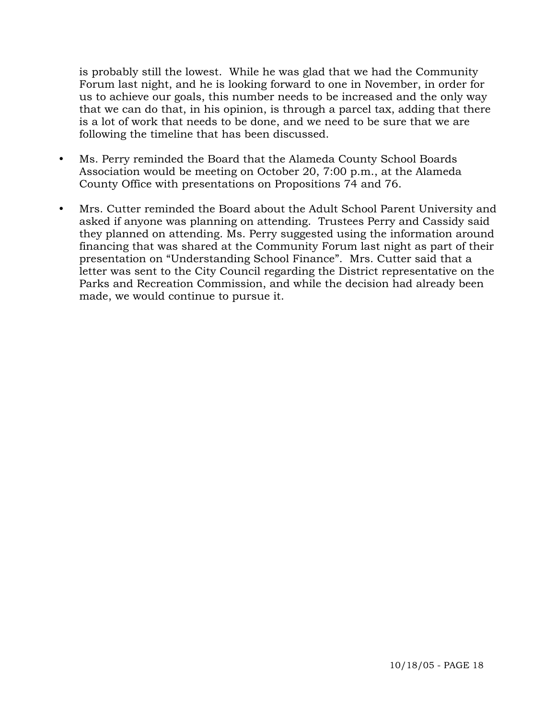is probably still the lowest. While he was glad that we had the Community Forum last night, and he is looking forward to one in November, in order for us to achieve our goals, this number needs to be increased and the only way that we can do that, in his opinion, is through a parcel tax, adding that there is a lot of work that needs to be done, and we need to be sure that we are following the timeline that has been discussed.

- Ms. Perry reminded the Board that the Alameda County School Boards Association would be meeting on October 20, 7:00 p.m., at the Alameda County Office with presentations on Propositions 74 and 76.
- Mrs. Cutter reminded the Board about the Adult School Parent University and asked if anyone was planning on attending. Trustees Perry and Cassidy said they planned on attending. Ms. Perry suggested using the information around financing that was shared at the Community Forum last night as part of their presentation on "Understanding School Finance". Mrs. Cutter said that a letter was sent to the City Council regarding the District representative on the Parks and Recreation Commission, and while the decision had already been made, we would continue to pursue it.